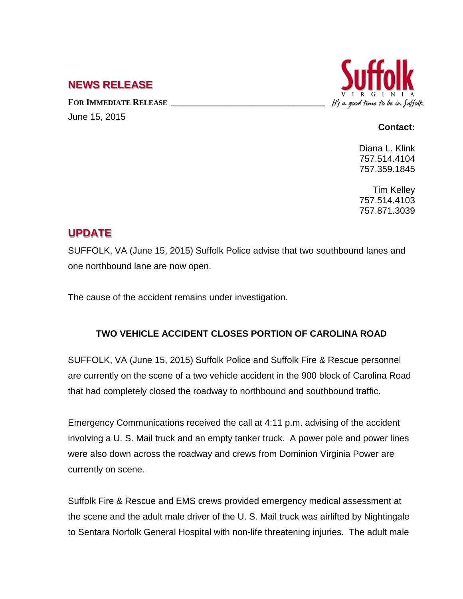## **NEWS RELEASE**

FOR **IMMEDIATE RELEASE** June 15, 2015



## **Contact:**

Diana L. Klink 757.514.4104 757.359.1845

Tim Kelley 757.514.4103 757.871.3039

## **UPDATE**

SUFFOLK, VA (June 15, 2015) Suffolk Police advise that two southbound lanes and one northbound lane are now open.

The cause of the accident remains under investigation.

## **TWO VEHICLE ACCIDENT CLOSES PORTION OF CAROLINA ROAD**

SUFFOLK, VA (June 15, 2015) Suffolk Police and Suffolk Fire & Rescue personnel are currently on the scene of a two vehicle accident in the 900 block of Carolina Road that had completely closed the roadway to northbound and southbound traffic.

Emergency Communications received the call at 4:11 p.m. advising of the accident involving a U. S. Mail truck and an empty tanker truck. A power pole and power lines were also down across the roadway and crews from Dominion Virginia Power are currently on scene.

Suffolk Fire & Rescue and EMS crews provided emergency medical assessment at the scene and the adult male driver of the U. S. Mail truck was airlifted by Nightingale to Sentara Norfolk General Hospital with non-life threatening injuries. The adult male